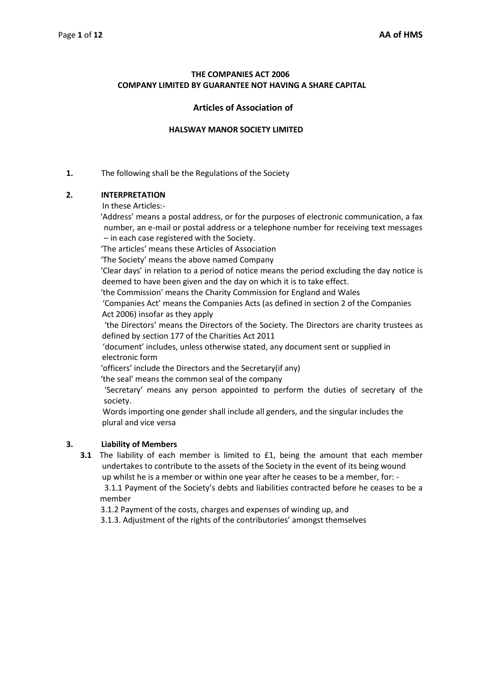# **THE COMPANIES ACT 2006 COMPANY LIMITED BY GUARANTEE NOT HAVING A SHARE CAPITAL**

## **Articles of Association of**

#### **HALSWAY MANOR SOCIETY LIMITED**

#### **1.** The following shall be the Regulations of the Society

#### **2. INTERPRETATION**

In these Articles:-

'Address' means a postal address, or for the purposes of electronic communication, a fax number, an e-mail or postal address or a telephone number for receiving text messages – in each case registered with the Society.

'The articles' means these Articles of Association

'The Society' means the above named Company

 'Clear days' in relation to a period of notice means the period excluding the day notice is deemed to have been given and the day on which it is to take effect.

'the Commission' means the Charity Commission for England and Wales

 'Companies Act' means the Companies Acts (as defined in section 2 of the Companies Act 2006) insofar as they apply

 'the Directors' means the Directors of the Society. The Directors are charity trustees as defined by section 177 of the Charities Act 2011

 'document' includes, unless otherwise stated, any document sent or supplied in electronic form

'officers' include the Directors and the Secretary(if any)

'the seal' means the common seal of the company

 'Secretary' means any person appointed to perform the duties of secretary of the society.

 Words importing one gender shall include all genders, and the singular includes the plural and vice versa

## **3. Liability of Members**

**3.1** The liability of each member is limited to £1, being the amount that each member undertakes to contribute to the assets of the Society in the event of its being wound up whilst he is a member or within one year after he ceases to be a member, for: - 3.1.1 Payment of the Society's debts and liabilities contracted before he ceases to be a member

3.1.2 Payment of the costs, charges and expenses of winding up, and

3.1.3. Adjustment of the rights of the contributories' amongst themselves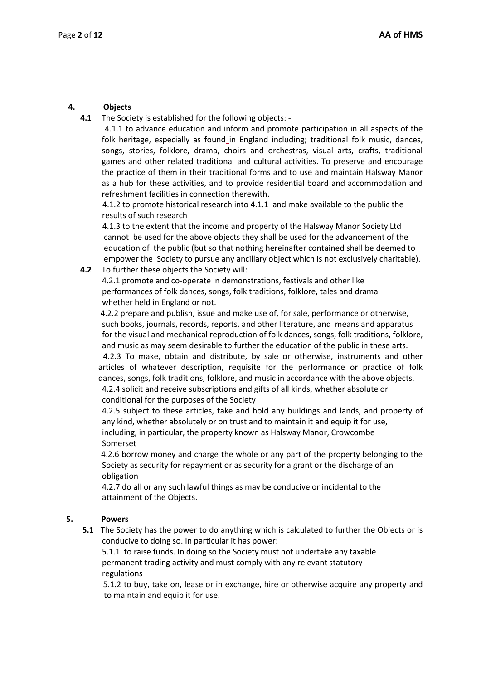## **4. Objects**

**4.1** The Society is established for the following objects: -

 4.1.1 to advance education and inform and promote participation in all aspects of the folk heritage, especially as found in England including; traditional folk music, dances, songs, stories, folklore, drama, choirs and orchestras, visual arts, crafts, traditional games and other related traditional and cultural activities. To preserve and encourage the practice of them in their traditional forms and to use and maintain Halsway Manor as a hub for these activities, and to provide residential board and accommodation and refreshment facilities in connection therewith.

4.1.2 to promote historical research into 4.1.1 and make available to the public the results of such research

4.1.3 to the extent that the income and property of the Halsway Manor Society Ltd cannot be used for the above objects they shall be used for the advancement of the education of the public (but so that nothing hereinafter contained shall be deemed to empower the Society to pursue any ancillary object which is not exclusively charitable).

**4.2** To further these objects the Society will:

 4.2.1 promote and co-operate in demonstrations, festivals and other like performances of folk dances, songs, folk traditions, folklore, tales and drama whether held in England or not.

 4.2.2 prepare and publish, issue and make use of, for sale, performance or otherwise, such books, journals, records, reports, and other literature, and means and apparatus for the visual and mechanical reproduction of folk dances, songs, folk traditions, folklore, and music as may seem desirable to further the education of the public in these arts.

 4.2.3 To make, obtain and distribute, by sale or otherwise, instruments and other articles of whatever description, requisite for the performance or practice of folk dances, songs, folk traditions, folklore, and music in accordance with the above objects. 4.2.4 solicit and receive subscriptions and gifts of all kinds, whether absolute or

conditional for the purposes of the Society

 4.2.5 subject to these articles, take and hold any buildings and lands, and property of any kind, whether absolutely or on trust and to maintain it and equip it for use, including, in particular, the property known as Halsway Manor, Crowcombe Somerset

 4.2.6 borrow money and charge the whole or any part of the property belonging to the Society as security for repayment or as security for a grant or the discharge of an obligation

 4.2.7 do all or any such lawful things as may be conducive or incidental to the attainment of the Objects.

# **5. Powers**

**5.1** The Society has the power to do anything which is calculated to further the Objects or is conducive to doing so. In particular it has power:

 5.1.1 to raise funds. In doing so the Society must not undertake any taxable permanent trading activity and must comply with any relevant statutory regulations

 5.1.2 to buy, take on, lease or in exchange, hire or otherwise acquire any property and to maintain and equip it for use.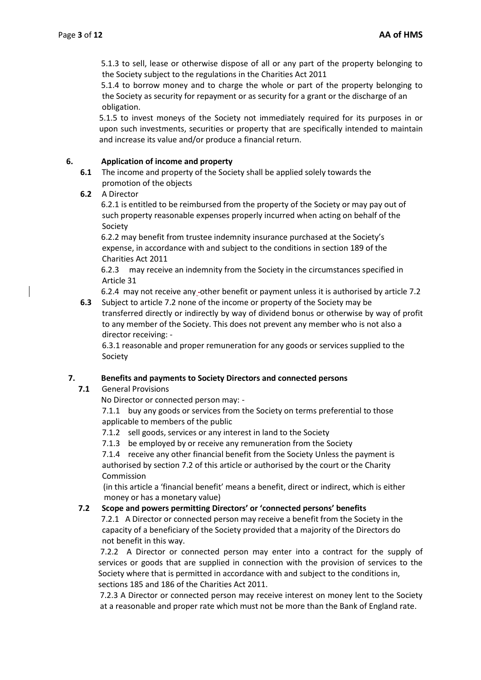5.1.3 to sell, lease or otherwise dispose of all or any part of the property belonging to the Society subject to the regulations in the Charities Act 2011

 5.1.4 to borrow money and to charge the whole or part of the property belonging to the Society as security for repayment or as security for a grant or the discharge of an obligation.

5.1.5 to invest moneys of the Society not immediately required for its purposes in or upon such investments, securities or property that are specifically intended to maintain and increase its value and/or produce a financial return.

## **6. Application of income and property**

- **6.1** The income and property of the Society shall be applied solely towards the promotion of the objects
- **6.2** A Director

 6.2.1 is entitled to be reimbursed from the property of the Society or may pay out of such property reasonable expenses properly incurred when acting on behalf of the Society

 6.2.2 may benefit from trustee indemnity insurance purchased at the Society's expense, in accordance with and subject to the conditions in section 189 of the Charities Act 2011

 6.2.3 may receive an indemnity from the Society in the circumstances specified in Article 31

6.2.4 may not receive any -other benefit or payment unless it is authorised by article 7.2

 **6.3** Subject to article 7.2 none of the income or property of the Society may be transferred directly or indirectly by way of dividend bonus or otherwise by way of profit to any member of the Society. This does not prevent any member who is not also a director receiving: -

 6.3.1 reasonable and proper remuneration for any goods or services supplied to the Society

## **7. Benefits and payments to Society Directors and connected persons**

- **7.1** General Provisions
	- No Director or connected person may: -

 7.1.1 buy any goods or services from the Society on terms preferential to those applicable to members of the public

- 7.1.2 sell goods, services or any interest in land to the Society
- 7.1.3 be employed by or receive any remuneration from the Society

 7.1.4 receive any other financial benefit from the Society Unless the payment is authorised by section 7.2 of this article or authorised by the court or the Charity Commission

 (in this article a 'financial benefit' means a benefit, direct or indirect, which is either money or has a monetary value)

## **7.2 Scope and powers permitting Directors' or 'connected persons' benefits**

 7.2.1 A Director or connected person may receive a benefit from the Society in the capacity of a beneficiary of the Society provided that a majority of the Directors do not benefit in this way.

7.2.2 A Director or connected person may enter into a contract for the supply of services or goods that are supplied in connection with the provision of services to the Society where that is permitted in accordance with and subject to the conditions in, sections 185 and 186 of the Charities Act 2011.

 7.2.3 A Director or connected person may receive interest on money lent to the Society at a reasonable and proper rate which must not be more than the Bank of England rate.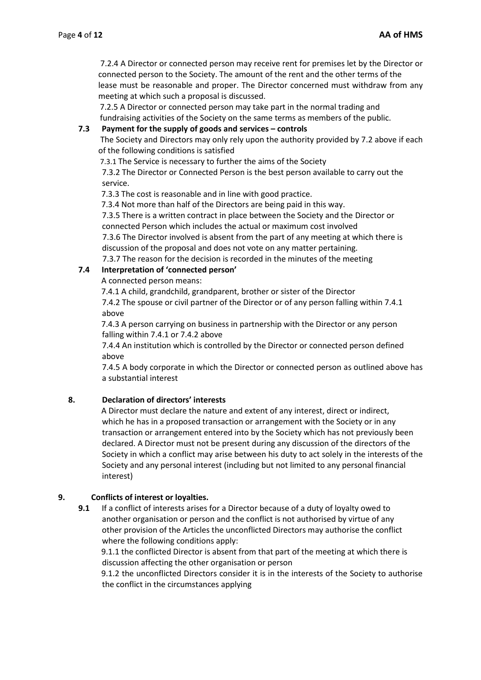7.2.4 A Director or connected person may receive rent for premises let by the Director or connected person to the Society. The amount of the rent and the other terms of the lease must be reasonable and proper. The Director concerned must withdraw from any meeting at which such a proposal is discussed.

 7.2.5 A Director or connected person may take part in the normal trading and fundraising activities of the Society on the same terms as members of the public.

## **7.3 Payment for the supply of goods and services – controls**

The Society and Directors may only rely upon the authority provided by 7.2 above if each of the following conditions is satisfied

7.3.1 The Service is necessary to further the aims of the Society

 7.3.2 The Director or Connected Person is the best person available to carry out the service.

7.3.3 The cost is reasonable and in line with good practice.

7.3.4 Not more than half of the Directors are being paid in this way.

 7.3.5 There is a written contract in place between the Society and the Director or connected Person which includes the actual or maximum cost involved

 7.3.6 The Director involved is absent from the part of any meeting at which there is discussion of the proposal and does not vote on any matter pertaining.

7.3.7 The reason for the decision is recorded in the minutes of the meeting

## **7.4 Interpretation of 'connected person'**

A connected person means:

7.4.1 A child, grandchild, grandparent, brother or sister of the Director

 7.4.2 The spouse or civil partner of the Director or of any person falling within 7.4.1 above

 7.4.3 A person carrying on business in partnership with the Director or any person falling within 7.4.1 or 7.4.2 above

 7.4.4 An institution which is controlled by the Director or connected person defined above

 7.4.5 A body corporate in which the Director or connected person as outlined above has a substantial interest

## **8. Declaration of directors' interests**

A Director must declare the nature and extent of any interest, direct or indirect, which he has in a proposed transaction or arrangement with the Society or in any transaction or arrangement entered into by the Society which has not previously been declared. A Director must not be present during any discussion of the directors of the Society in which a conflict may arise between his duty to act solely in the interests of the Society and any personal interest (including but not limited to any personal financial interest)

## **9. Conflicts of interest or loyalties.**

 **9.1** If a conflict of interests arises for a Director because of a duty of loyalty owed to another organisation or person and the conflict is not authorised by virtue of any other provision of the Articles the unconflicted Directors may authorise the conflict where the following conditions apply:

 9.1.1 the conflicted Director is absent from that part of the meeting at which there is discussion affecting the other organisation or person

 9.1.2 the unconflicted Directors consider it is in the interests of the Society to authorise the conflict in the circumstances applying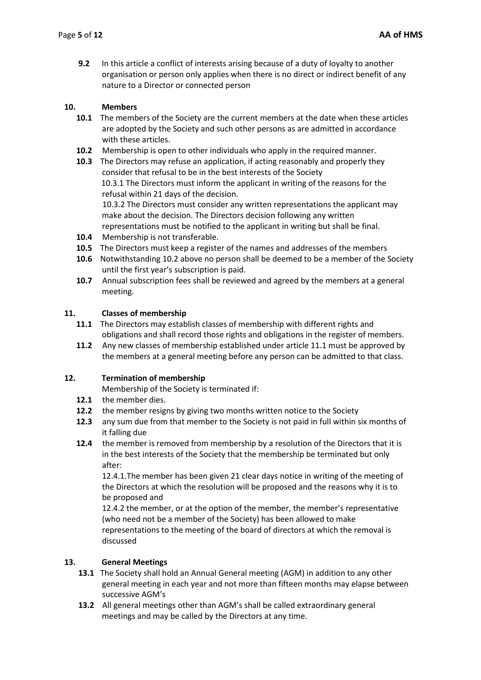**9.2** In this article a conflict of interests arising because of a duty of loyalty to another organisation or person only applies when there is no direct or indirect benefit of any nature to a Director or connected person

#### **10. Members**

- **10.1** The members of the Society are the current members at the date when these articles are adopted by the Society and such other persons as are admitted in accordance with these articles.
- **10.2** Membership is open to other individuals who apply in the required manner.
- **10.3** The Directors may refuse an application, if acting reasonably and properly they consider that refusal to be in the best interests of the Society 10.3.1 The Directors must inform the applicant in writing of the reasons for the refusal within 21 days of the decision. 10.3.2 The Directors must consider any written representations the applicant may make about the decision. The Directors decision following any written
	- representations must be notified to the applicant in writing but shall be final.
- **10.4** Membership is not transferable.
- **10.5** The Directors must keep a register of the names and addresses of the members
- **10.6** Notwithstanding 10.2 above no person shall be deemed to be a member of the Society until the first year's subscription is paid.
- **10.7** Annual subscription fees shall be reviewed and agreed by the members at a general meeting.

#### **11. Classes of membership**

- **11.1** The Directors may establish classes of membership with different rights and obligations and shall record those rights and obligations in the register of members.
- **11.2** Any new classes of membership established under article 11.1 must be approved by the members at a general meeting before any person can be admitted to that class.

#### **12. Termination of membership**

Membership of the Society is terminated if:

- **12.1** the member dies.
- **12.2** the member resigns by giving two months written notice to the Society
- **12.3** any sum due from that member to the Society is not paid in full within six months of it falling due
- **12.4** the member is removed from membership by a resolution of the Directors that it is in the best interests of the Society that the membership be terminated but only after:

 12.4.1.The member has been given 21 clear days notice in writing of the meeting of the Directors at which the resolution will be proposed and the reasons why it is to be proposed and

 12.4.2 the member, or at the option of the member, the member's representative (who need not be a member of the Society) has been allowed to make representations to the meeting of the board of directors at which the removal is discussed

#### **13. General Meetings**

- **13.1** The Society shall hold an Annual General meeting (AGM) in addition to any other general meeting in each year and not more than fifteen months may elapse between successive AGM's
- **13.2** All general meetings other than AGM's shall be called extraordinary general meetings and may be called by the Directors at any time.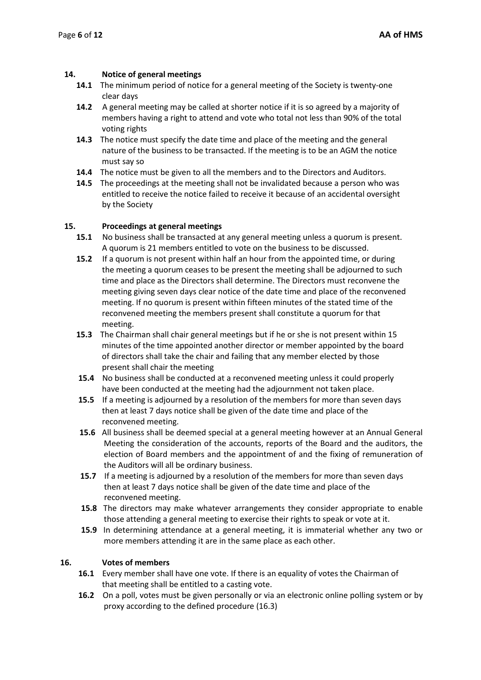# **14. Notice of general meetings**

- **14.1** The minimum period of notice for a general meeting of the Society is twenty-one clear days
- **14.2** A general meeting may be called at shorter notice if it is so agreed by a majority of members having a right to attend and vote who total not less than 90% of the total voting rights
- **14.3** The notice must specify the date time and place of the meeting and the general nature of the business to be transacted. If the meeting is to be an AGM the notice must say so
- **14.4** The notice must be given to all the members and to the Directors and Auditors.
- **14.5** The proceedings at the meeting shall not be invalidated because a person who was entitled to receive the notice failed to receive it because of an accidental oversight by the Society

# **15. Proceedings at general meetings**

- **15.1** No business shall be transacted at any general meeting unless a quorum is present. A quorum is 21 members entitled to vote on the business to be discussed.
- **15.2** If a quorum is not present within half an hour from the appointed time, or during the meeting a quorum ceases to be present the meeting shall be adjourned to such time and place as the Directors shall determine. The Directors must reconvene the meeting giving seven days clear notice of the date time and place of the reconvened meeting. If no quorum is present within fifteen minutes of the stated time of the reconvened meeting the members present shall constitute a quorum for that meeting.
- **15.3** The Chairman shall chair general meetings but if he or she is not present within 15 minutes of the time appointed another director or member appointed by the board of directors shall take the chair and failing that any member elected by those present shall chair the meeting
- **15.4** No business shall be conducted at a reconvened meeting unless it could properly have been conducted at the meeting had the adjournment not taken place.
- **15.5** If a meeting is adjourned by a resolution of the members for more than seven days then at least 7 days notice shall be given of the date time and place of the reconvened meeting.
- **15.6** All business shall be deemed special at a general meeting however at an Annual General Meeting the consideration of the accounts, reports of the Board and the auditors, the election of Board members and the appointment of and the fixing of remuneration of the Auditors will all be ordinary business.
- **15.7** If a meeting is adjourned by a resolution of the members for more than seven days then at least 7 days notice shall be given of the date time and place of the reconvened meeting.
- **15.8** The directors may make whatever arrangements they consider appropriate to enable those attending a general meeting to exercise their rights to speak or vote at it.
- **15.9** In determining attendance at a general meeting, it is immaterial whether any two or more members attending it are in the same place as each other.

## **16. Votes of members**

- **16.1** Every member shall have one vote. If there is an equality of votes the Chairman of that meeting shall be entitled to a casting vote.
- **16.2** On a poll, votes must be given personally or via an electronic online polling system or by proxy according to the defined procedure (16.3)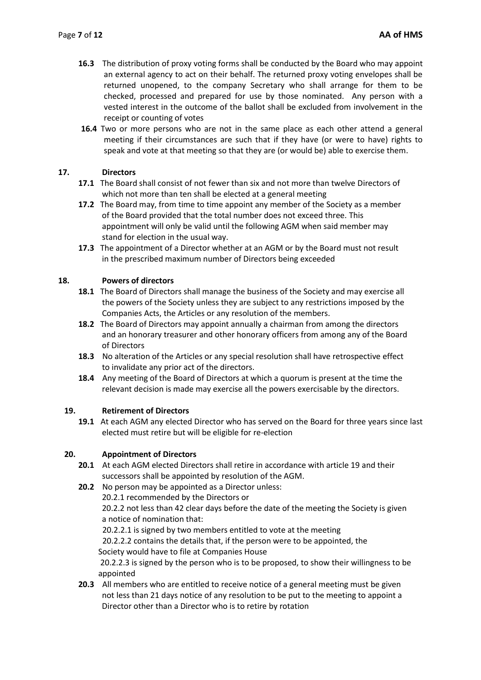- **16.3** The distribution of proxy voting forms shall be conducted by the Board who may appoint an external agency to act on their behalf. The returned proxy voting envelopes shall be returned unopened, to the company Secretary who shall arrange for them to be checked, processed and prepared for use by those nominated. Any person with a vested interest in the outcome of the ballot shall be excluded from involvement in the receipt or counting of votes
- **16.4** Two or more persons who are not in the same place as each other attend a general meeting if their circumstances are such that if they have (or were to have) rights to speak and vote at that meeting so that they are (or would be) able to exercise them.

## **17. Directors**

- **17.1** The Board shall consist of not fewer than six and not more than twelve Directors of which not more than ten shall be elected at a general meeting
- **17.2** The Board may, from time to time appoint any member of the Society as a member of the Board provided that the total number does not exceed three. This appointment will only be valid until the following AGM when said member may stand for election in the usual way.
- **17.3** The appointment of a Director whether at an AGM or by the Board must not result in the prescribed maximum number of Directors being exceeded

## **18. Powers of directors**

- **18.1** The Board of Directors shall manage the business of the Society and may exercise all the powers of the Society unless they are subject to any restrictions imposed by the Companies Acts, the Articles or any resolution of the members.
- **18.2** The Board of Directors may appoint annually a chairman from among the directors and an honorary treasurer and other honorary officers from among any of the Board of Directors
- **18.3** No alteration of the Articles or any special resolution shall have retrospective effect to invalidate any prior act of the directors.
- **18.4** Any meeting of the Board of Directors at which a quorum is present at the time the relevant decision is made may exercise all the powers exercisable by the directors.

## **19. Retirement of Directors**

 **19.1** At each AGM any elected Director who has served on the Board for three years since last elected must retire but will be eligible for re-election

## **20. Appointment of Directors**

- **20.1** At each AGM elected Directors shall retire in accordance with article 19 and their successors shall be appointed by resolution of the AGM.
- **20.2** No person may be appointed as a Director unless:

20.2.1 recommended by the Directors or

 20.2.2 not less than 42 clear days before the date of the meeting the Society is given a notice of nomination that:

20.2.2.1 is signed by two members entitled to vote at the meeting

 20.2.2.2 contains the details that, if the person were to be appointed, the Society would have to file at Companies House

20.2.2.3 is signed by the person who is to be proposed, to show their willingness to be appointed

 **20.3** All members who are entitled to receive notice of a general meeting must be given not less than 21 days notice of any resolution to be put to the meeting to appoint a Director other than a Director who is to retire by rotation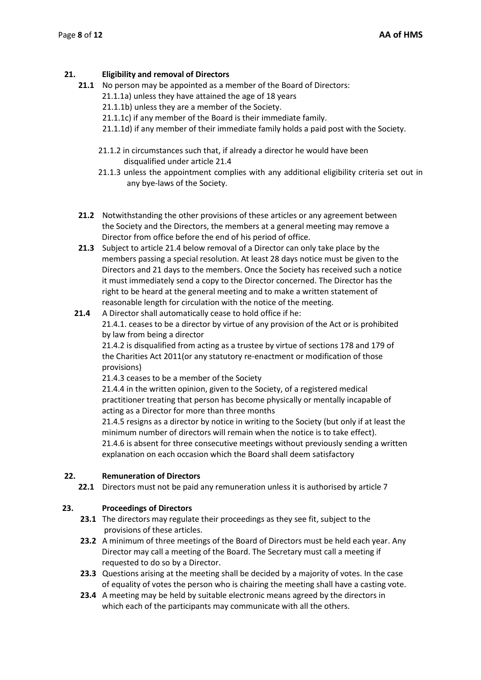# **21. Eligibility and removal of Directors**

- **21.1** No person may be appointed as a member of the Board of Directors:
	- 21.1.1a) unless they have attained the age of 18 years
	- 21.1.1b) unless they are a member of the Society.
	- 21.1.1c) if any member of the Board is their immediate family.
	- 21.1.1d) if any member of their immediate family holds a paid post with the Society.
	- 21.1.2 in circumstances such that, if already a director he would have been disqualified under article 21.4
	- 21.1.3 unless the appointment complies with any additional eligibility criteria set out in any bye-laws of the Society.
- **21.2** Notwithstanding the other provisions of these articles or any agreement between the Society and the Directors, the members at a general meeting may remove a Director from office before the end of his period of office.
- **21.3** Subject to article 21.4 below removal of a Director can only take place by the members passing a special resolution. At least 28 days notice must be given to the Directors and 21 days to the members. Once the Society has received such a notice it must immediately send a copy to the Director concerned. The Director has the right to be heard at the general meeting and to make a written statement of reasonable length for circulation with the notice of the meeting.
- **21.4** A Director shall automatically cease to hold office if he: 21.4.1. ceases to be a director by virtue of any provision of the Act or is prohibited by law from being a director

 21.4.2 is disqualified from acting as a trustee by virtue of sections 178 and 179 of the Charities Act 2011(or any statutory re-enactment or modification of those provisions)

21.4.3 ceases to be a member of the Society

 21.4.4 in the written opinion, given to the Society, of a registered medical practitioner treating that person has become physically or mentally incapable of acting as a Director for more than three months

 21.4.5 resigns as a director by notice in writing to the Society (but only if at least the minimum number of directors will remain when the notice is to take effect).

 21.4.6 is absent for three consecutive meetings without previously sending a written explanation on each occasion which the Board shall deem satisfactory

## **22. Remuneration of Directors**

**22.1** Directors must not be paid any remuneration unless it is authorised by article 7

# **23. Proceedings of Directors**

- **23.1** The directors may regulate their proceedings as they see fit, subject to the provisions of these articles.
- **23.2** A minimum of three meetings of the Board of Directors must be held each year. Any Director may call a meeting of the Board. The Secretary must call a meeting if requested to do so by a Director.
- **23.3** Questions arising at the meeting shall be decided by a majority of votes. In the case of equality of votes the person who is chairing the meeting shall have a casting vote.
- **23.4** A meeting may be held by suitable electronic means agreed by the directors in which each of the participants may communicate with all the others.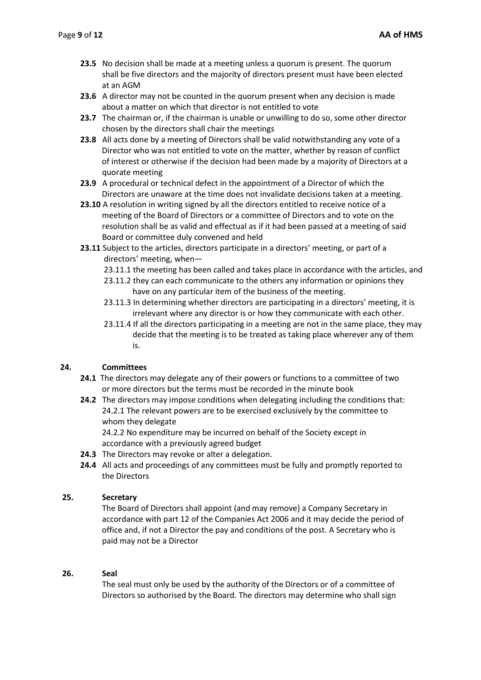- **23.5** No decision shall be made at a meeting unless a quorum is present. The quorum shall be five directors and the majority of directors present must have been elected at an AGM
- **23.6** A director may not be counted in the quorum present when any decision is made about a matter on which that director is not entitled to vote
- **23.7** The chairman or, if the chairman is unable or unwilling to do so, some other director chosen by the directors shall chair the meetings
- **23.8** All acts done by a meeting of Directors shall be valid notwithstanding any vote of a Director who was not entitled to vote on the matter, whether by reason of conflict of interest or otherwise if the decision had been made by a majority of Directors at a quorate meeting
- **23.9** A procedural or technical defect in the appointment of a Director of which the Directors are unaware at the time does not invalidate decisions taken at a meeting.
- **23.10** A resolution in writing signed by all the directors entitled to receive notice of a meeting of the Board of Directors or a committee of Directors and to vote on the resolution shall be as valid and effectual as if it had been passed at a meeting of said Board or committee duly convened and held
- **23.11** Subject to the articles, directors participate in a directors' meeting, or part of a directors' meeting, when—
	- 23.11.1 the meeting has been called and takes place in accordance with the articles, and
	- 23.11.2 they can each communicate to the others any information or opinions they have on any particular item of the business of the meeting.
	- 23.11.3 In determining whether directors are participating in a directors' meeting, it is irrelevant where any director is or how they communicate with each other.
	- 23.11.4 If all the directors participating in a meeting are not in the same place, they may decide that the meeting is to be treated as taking place wherever any of them is.

# **24. Committees**

- **24.1** The directors may delegate any of their powers or functions to a committee of two or more directors but the terms must be recorded in the minute book
- **24.2** The directors may impose conditions when delegating including the conditions that: 24.2.1 The relevant powers are to be exercised exclusively by the committee to whom they delegate

 24.2.2 No expenditure may be incurred on behalf of the Society except in accordance with a previously agreed budget

- **24.3** The Directors may revoke or alter a delegation.
- **24.4** All acts and proceedings of any committees must be fully and promptly reported to the Directors

## **25. Secretary**

 The Board of Directors shall appoint (and may remove) a Company Secretary in accordance with part 12 of the Companies Act 2006 and it may decide the period of office and, if not a Director the pay and conditions of the post. A Secretary who is paid may not be a Director

## **26. Seal**

The seal must only be used by the authority of the Directors or of a committee of Directors so authorised by the Board. The directors may determine who shall sign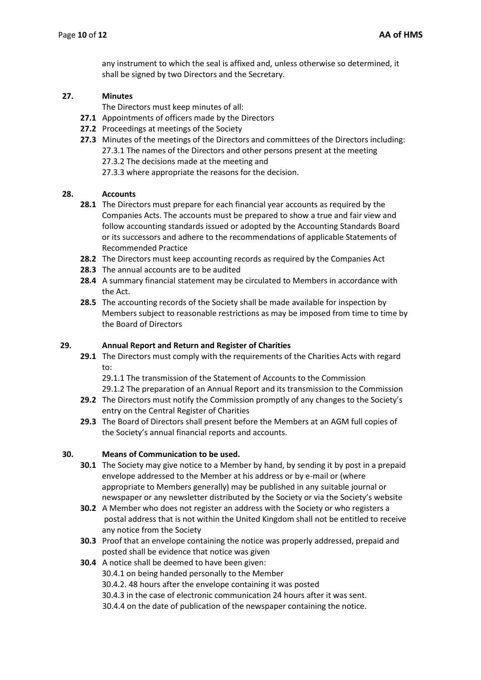any instrument to which the seal is affixed and, unless otherwise so determined, it shall be signed by two Directors and the Secretary.

## **27. Minutes**

The Directors must keep minutes of all:

- **27.1** Appointments of officers made by the Directors
- **27.2** Proceedings at meetings of the Society
- **27.3** Minutes of the meetings of the Directors and committees of the Directors including: 27.3.1 The names of the Directors and other persons present at the meeting 27.3.2 The decisions made at the meeting and
	- 27.3.3 where appropriate the reasons for the decision.

## **28. Accounts**

- **28.1** The Directors must prepare for each financial year accounts as required by the Companies Acts. The accounts must be prepared to show a true and fair view and follow accounting standards issued or adopted by the Accounting Standards Board or its successors and adhere to the recommendations of applicable Statements of Recommended Practice
- **28.2** The Directors must keep accounting records as required by the Companies Act
- **28.3** The annual accounts are to be audited
- **28.4** A summary financial statement may be circulated to Members in accordance with the Act.
- **28.5** The accounting records of the Society shall be made available for inspection by Members subject to reasonable restrictions as may be imposed from time to time by the Board of Directors

## **29. Annual Report and Return and Register of Charities**

 **29.1** The Directors must comply with the requirements of the Charities Acts with regard to:

29.1.1 The transmission of the Statement of Accounts to the Commission

29.1.2 The preparation of an Annual Report and its transmission to the Commission

- **29.2** The Directors must notify the Commission promptly of any changes to the Society's entry on the Central Register of Charities
- **29.3** The Board of Directors shall present before the Members at an AGM full copies of the Society's annual financial reports and accounts.

## **30. Means of Communication to be used.**

- **30.1** The Society may give notice to a Member by hand, by sending it by post in a prepaid envelope addressed to the Member at his address or by e-mail or (where appropriate to Members generally) may be published in any suitable journal or newspaper or any newsletter distributed by the Society or via the Society's website
- **30.2** A Member who does not register an address with the Society or who registers a postal address that is not within the United Kingdom shall not be entitled to receive any notice from the Society
- **30.3** Proof that an envelope containing the notice was properly addressed, prepaid and posted shall be evidence that notice was given
- **30.4** A notice shall be deemed to have been given: 30.4.1 on being handed personally to the Member 30.4.2. 48 hours after the envelope containing it was posted 30.4.3 in the case of electronic communication 24 hours after it was sent. 30.4.4 on the date of publication of the newspaper containing the notice.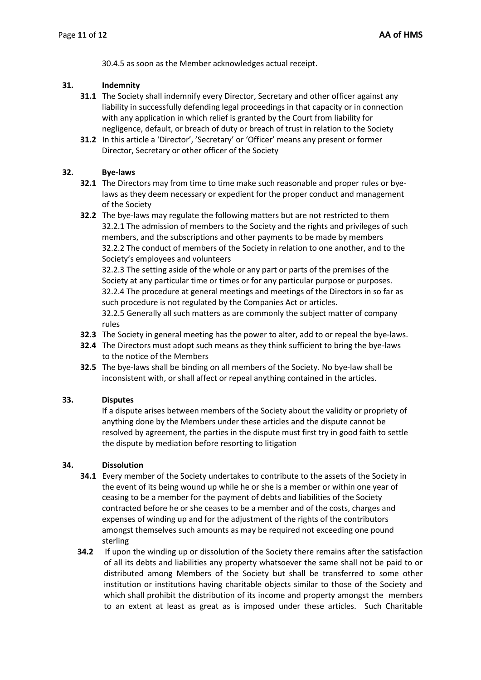30.4.5 as soon as the Member acknowledges actual receipt.

### **31. Indemnity**

- **31.1** The Society shall indemnify every Director, Secretary and other officer against any liability in successfully defending legal proceedings in that capacity or in connection with any application in which relief is granted by the Court from liability for negligence, default, or breach of duty or breach of trust in relation to the Society
- **31.2** In this article a 'Director', 'Secretary' or 'Officer' means any present or former Director, Secretary or other officer of the Society

#### **32. Bye-laws**

- **32.1** The Directors may from time to time make such reasonable and proper rules or bye laws as they deem necessary or expedient for the proper conduct and management of the Society
- **32.2** The bye-laws may regulate the following matters but are not restricted to them 32.2.1 The admission of members to the Society and the rights and privileges of such members, and the subscriptions and other payments to be made by members 32.2.2 The conduct of members of the Society in relation to one another, and to the Society's employees and volunteers

 32.2.3 The setting aside of the whole or any part or parts of the premises of the Society at any particular time or times or for any particular purpose or purposes. 32.2.4 The procedure at general meetings and meetings of the Directors in so far as such procedure is not regulated by the Companies Act or articles. 32.2.5 Generally all such matters as are commonly the subject matter of company

rules

- **32.3** The Society in general meeting has the power to alter, add to or repeal the bye-laws.
- **32.4** The Directors must adopt such means as they think sufficient to bring the bye-laws to the notice of the Members
- **32.5** The bye-laws shall be binding on all members of the Society. No bye-law shall be inconsistent with, or shall affect or repeal anything contained in the articles.

#### **33. Disputes**

 If a dispute arises between members of the Society about the validity or propriety of anything done by the Members under these articles and the dispute cannot be resolved by agreement, the parties in the dispute must first try in good faith to settle the dispute by mediation before resorting to litigation

## **34. Dissolution**

- **34.1** Every member of the Society undertakes to contribute to the assets of the Society in the event of its being wound up while he or she is a member or within one year of ceasing to be a member for the payment of debts and liabilities of the Society contracted before he or she ceases to be a member and of the costs, charges and expenses of winding up and for the adjustment of the rights of the contributors amongst themselves such amounts as may be required not exceeding one pound sterling
- **34.2** If upon the winding up or dissolution of the Society there remains after the satisfaction of all its debts and liabilities any property whatsoever the same shall not be paid to or distributed among Members of the Society but shall be transferred to some other institution or institutions having charitable objects similar to those of the Society and which shall prohibit the distribution of its income and property amongst the members to an extent at least as great as is imposed under these articles. Such Charitable